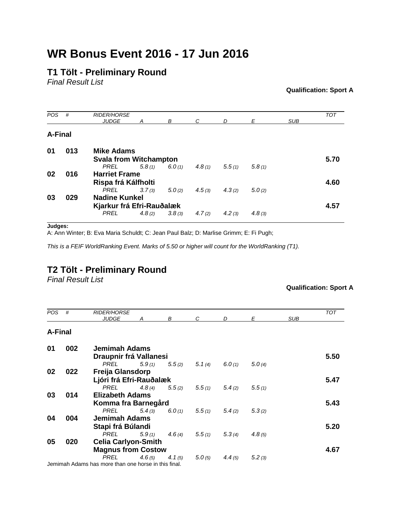# **WR Bonus Event 2016 - 17 Jun 2016**

## **T1 Tölt - Preliminary Round**

*Final Result List*

**Qualification: Sport A**

| <b>POS</b> | #   | <b>RIDER/HORSE</b>            |        |        |        |        |        |            | <b>TOT</b> |
|------------|-----|-------------------------------|--------|--------|--------|--------|--------|------------|------------|
|            |     | <b>JUDGE</b>                  | Α      | В      | C      | D      | Е      | <b>SUB</b> |            |
|            |     |                               |        |        |        |        |        |            |            |
| A-Final    |     |                               |        |        |        |        |        |            |            |
| 01         | 013 | <b>Mike Adams</b>             |        |        |        |        |        |            |            |
|            |     | <b>Svala from Witchampton</b> |        |        |        |        |        |            | 5.70       |
|            |     | <b>PREL</b>                   | 5.8(1) | 6.0(1) | 4.8(1) | 5.5(1) | 5.8(1) |            |            |
| 02         | 016 | <b>Harriet Frame</b>          |        |        |        |        |        |            |            |
|            |     | Rispa frá Kálfholti           |        |        |        |        |        |            | 4.60       |
|            |     | PREL                          | 3.7(3) | 5.0(2) | 4.5(3) | 4.3(2) | 5.0(2) |            |            |
| 03         | 029 | <b>Nadine Kunkel</b>          |        |        |        |        |        |            |            |
|            |     | Kjarkur frá Efri-Rauðalæk     |        |        |        |        |        |            | 4.57       |
|            |     | <b>PREL</b>                   | 4.8(2) | 3.8(3) | 4.7(2) | 4.2(3) | 4.8(3) |            |            |
|            |     |                               |        |        |        |        |        |            |            |

**Judges:**

A: Ann Winter; B: Eva Maria Schuldt; C: Jean Paul Balz; D: Marlise Grimm; E: Fi Pugh;

*This is a FEIF WorldRanking Event. Marks of 5.50 or higher will count for the WorldRanking (T1).*

### **T2 Tölt - Preliminary Round**

*Final Result List*

#### **Qualification: Sport A**

| <b>POS</b>     | #   | <b>RIDER/HORSE</b><br><b>JUDGE</b>                   | А      | В         | C.     | D      | Е      | <b>SUB</b> | <b>TOT</b> |  |
|----------------|-----|------------------------------------------------------|--------|-----------|--------|--------|--------|------------|------------|--|
|                |     |                                                      |        |           |        |        |        |            |            |  |
| <b>A-Final</b> |     |                                                      |        |           |        |        |        |            |            |  |
| 01             | 002 | Jemimah Adams                                        |        |           |        |        |        |            |            |  |
|                |     | Draupnir frá Vallanesi                               |        |           |        |        |        |            | 5.50       |  |
|                |     | PREL                                                 | 5.9(1) | 5.5(2)    | 5.1(4) | 6.0(1) | 5.0(4) |            |            |  |
| 02             | 022 | Freija Glansdorp                                     |        |           |        |        |        |            |            |  |
|                |     | Ljóri frá Efri-Rauðalæk                              |        |           |        |        |        |            | 5.47       |  |
|                |     | PREL                                                 | 4.8(4) | 5.5(2)    | 5.5(1) | 5.4(2) | 5.5(1) |            |            |  |
| 03             | 014 | <b>Elizabeth Adams</b>                               |        |           |        |        |        |            |            |  |
|                |     | Komma fra Barnegård                                  |        |           |        |        |        |            | 5.43       |  |
|                |     | PREL                                                 | 5.4(3) | 6.0(1)    | 5.5(1) | 5.4(2) | 5.3(2) |            |            |  |
| 04             | 004 | <b>Jemimah Adams</b>                                 |        |           |        |        |        |            |            |  |
|                |     | Stapi frá Búlandi                                    |        |           |        |        |        |            | 5.20       |  |
|                |     | PREL                                                 | 5.9(1) | 4.6 $(4)$ | 5.5(1) | 5.3(4) | 4.8(5) |            |            |  |
| 05             | 020 | <b>Celia Carlyon-Smith</b>                           |        |           |        |        |        |            |            |  |
|                |     | <b>Magnus from Costow</b>                            |        |           |        |        |        |            | 4.67       |  |
|                |     | PREL                                                 | 4.6(5) | 4.1 $(5)$ | 5.0(5) | 4.4(5) | 5.2(3) |            |            |  |
|                |     | Jemimah Adams has more than one horse in this final. |        |           |        |        |        |            |            |  |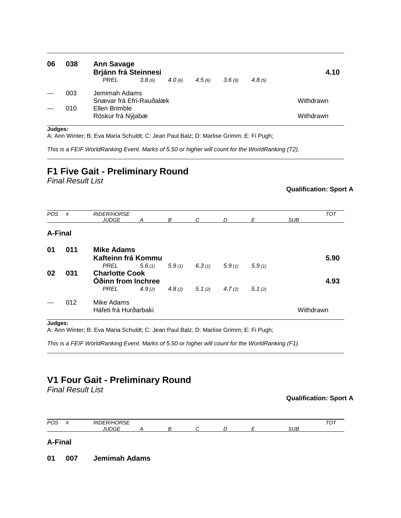| 06    | 038 | <b>Ann Savage</b><br><b>Brjánn frá Steinnesi</b><br>PREL | 3.8(6) | 4.0(6) | 4.5(6) | 3.6(6) | 4.8(5) | 4.10      |
|-------|-----|----------------------------------------------------------|--------|--------|--------|--------|--------|-----------|
| $---$ | 003 | Jemimah Adams<br>Snævar frá Efri-Rauðalæk                |        |        |        |        |        | Withdrawn |
|       | 010 | Ellen Brimble<br>Röskur frá Nýjabæ                       |        |        |        |        |        | Withdrawn |

#### **Judges:**

A: Ann Winter; B: Eva Maria Schuldt; C: Jean Paul Balz; D: Marlise Grimm; E: Fi Pugh;

*This is a FEIF WorldRanking Event. Marks of 5.50 or higher will count for the WorldRanking (T2).*

# **F1 Five Gait - Preliminary Round**

*Final Result List*

#### **Qualification: Sport A**

| <b>POS</b> | #   | <b>RIDER/HORSE</b>    |        |        |        |        |        |            | <b>TOT</b> |
|------------|-----|-----------------------|--------|--------|--------|--------|--------|------------|------------|
|            |     | <b>JUDGE</b>          | Α      | В      | C      | D      | Ε      | <b>SUB</b> |            |
|            |     |                       |        |        |        |        |        |            |            |
| A-Final    |     |                       |        |        |        |        |        |            |            |
|            |     |                       |        |        |        |        |        |            |            |
| 01         | 011 | <b>Mike Adams</b>     |        |        |        |        |        |            |            |
|            |     | Kafteinn frá Kommu    |        |        |        |        |        |            | 5.90       |
|            |     | <b>PREL</b>           | 5.6(1) | 5.9(1) | 6.3(1) | 5.9(1) | 5.9(1) |            |            |
| 02         | 031 | <b>Charlotte Cook</b> |        |        |        |        |        |            |            |
|            |     | Oðinn from Inchree    |        |        |        |        |        |            | 4.93       |
|            |     | <b>PREL</b>           | 4.9(2) | 4.8(2) | 5.1(2) | 4.7(2) | 5.1(2) |            |            |
|            |     |                       |        |        |        |        |        |            |            |
|            | 012 | Mike Adams            |        |        |        |        |        |            |            |
|            |     | Háfeti frá Hurðarbaki |        |        |        |        |        | Withdrawn  |            |
|            |     |                       |        |        |        |        |        |            |            |

#### **Judges:**

A: Ann Winter; B: Eva Maria Schuldt; C: Jean Paul Balz; D: Marlise Grimm; E: Fi Pugh;

*This is a FEIF WorldRanking Event. Marks of 5.50 or higher will count for the WorldRanking (F1).*

### **V1 Four Gait - Preliminary Round**

*Final Result List*

#### **Qualification: Sport A**



**01 007 Jemimah Adams**